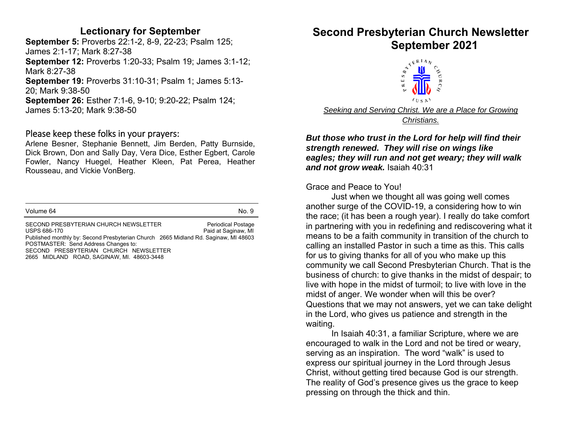#### **Lectionary for September**

**September 5:** Proverbs 22:1-2, 8-9, 22-23; Psalm 125; James 2:1-17; Mark 8:27-38 **September 12:** Proverbs 1:20-33; Psalm 19; James 3:1-12; Mark 8:27-38 **September 19:** Proverbs 31:10-31; Psalm 1; James 5:13- 20; Mark 9:38-50 **September 26:** Esther 7:1-6, 9-10; 9:20-22; Psalm 124; James 5:13-20; Mark 9:38-50

#### Please keep these folks in your prayers:

Arlene Besner, Stephanie Bennett, Jim Berden, Patty Burnside, Dick Brown, Don and Sally Day, Vera Dice, Esther Egbert, Carole Fowler, Nancy Huegel, Heather Kleen, Pat Perea, Heather Rousseau, and Vickie VonBerg.

|                                                                                                                                                                                      | No. 9                                            |
|--------------------------------------------------------------------------------------------------------------------------------------------------------------------------------------|--------------------------------------------------|
| SECOND PRESBYTERIAN CHURCH NEWSLETTER<br>USPS 686-170<br>Published monthly by: Second Presbyterian Church 2665 Midland Rd. Saginaw, MI 48603<br>POSTMASTER: Send Address Changes to: | <b>Periodical Postage</b><br>Paid at Saginaw, MI |

SECOND PRESBYTERIAN CHURCH NEWSLETTER 2665 MIDLAND ROAD, SAGINAW, MI. 48603-3448

# **Second Presbyterian Church Newsletter**



*But those who trust in the Lord for help will find their strength renewed. They will rise on wings like eagles; they will run and not get weary; they will walk and not grow weak.* Isaiah 40:31

Grace and Peace to You!

Just when we thought all was going well comes another surge of the COVID-19, a considering how to win the race; (it has been a rough year). I really do take comfort in partnering with you in redefining and rediscovering what it means to be a faith community in transition of the church to calling an installed Pastor in such a time as this. This calls for us to giving thanks for all of you who make up this community we call Second Presbyterian Church. That is the business of church: to give thanks in the midst of despair; to live with hope in the midst of turmoil; to live with love in the midst of anger. We wonder when will this be over? Questions that we may not answers, yet we can take delight in the Lord, who gives us patience and strength in the waiting.

In Isaiah 40:31, a familiar Scripture, where we are encouraged to walk in the Lord and not be tired or weary, serving as an inspiration. The word "walk" is used to express our spiritual journey in the Lord through Jesus Christ, without getting tired because God is our strength. The reality of God's presence gives us the grace to keep pressing on through the thick and thin.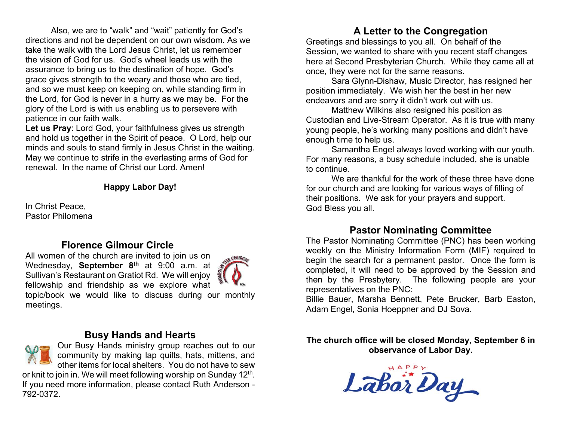Also, we are to "walk" and "wait" patiently for God's directions and not be dependent on our own wisdom. As we take the walk with the Lord Jesus Christ, let us remember the vision of God for us. God's wheel leads us with the assurance to bring us to the destination of hope. God's grace gives strength to the weary and those who are tied, and so we must keep on keeping on, while standing firm in the Lord, for God is never in a hurry as we may be. For the glory of the Lord is with us enabling us to persevere with patience in our faith walk.

**Let us Pray**: Lord God, your faithfulness gives us strength and hold us together in the Spirit of peace. O Lord, help our minds and souls to stand firmly in Jesus Christ in the waiting. May we continue to strife in the everlasting arms of God for renewal. In the name of Christ our Lord. Amen!

#### **Happy Labor Day!**

In Christ Peace, Pastor Philomena

#### **Florence Gilmour Circle**

All women of the church are invited to join us on Wednesday, **September 8th** at 9:00 a.m. at Sullivan's Restaurant on Gratiot Rd. We will enjoy fellowship and friendship as we explore what topic/book we would like to discuss during our monthly meetings.



#### **Busy Hands and Hearts**

Our Busy Hands ministry group reaches out to our community by making lap quilts, hats, mittens, and other items for local shelters. You do not have to sew or knit to join in. We will meet following worship on Sunday 12<sup>th</sup>. If you need more information, please contact Ruth Anderson - 792-0372.

#### **A Letter to the Congregation**

Greetings and blessings to you all. On behalf of the Session, we wanted to share with you recent staff changes here at Second Presbyterian Church. While they came all at once, they were not for the same reasons.

 Sara Glynn-Dishaw, Music Director, has resigned her position immediately. We wish her the best in her new endeavors and are sorry it didn't work out with us.

 Matthew Wilkins also resigned his position as Custodian and Live-Stream Operator. As it is true with many young people, he's working many positions and didn't have enough time to help us.

 Samantha Engel always loved working with our youth. For many reasons, a busy schedule included, she is unable to continue.

 We are thankful for the work of these three have done for our church and are looking for various ways of filling of their positions. We ask for your prayers and support. God Bless you all.

#### **Pastor Nominating Committee**

The Pastor Nominating Committee (PNC) has been working weekly on the Ministry Information Form (MIF) required to begin the search for a permanent pastor. Once the form is completed, it will need to be approved by the Session and then by the Presbytery. The following people are your representatives on the PNC:

Billie Bauer, Marsha Bennett, Pete Brucker, Barb Easton, Adam Engel, Sonia Hoeppner and DJ Sova.

**The church office will be closed Monday, September 6 in observance of Labor Day.** 

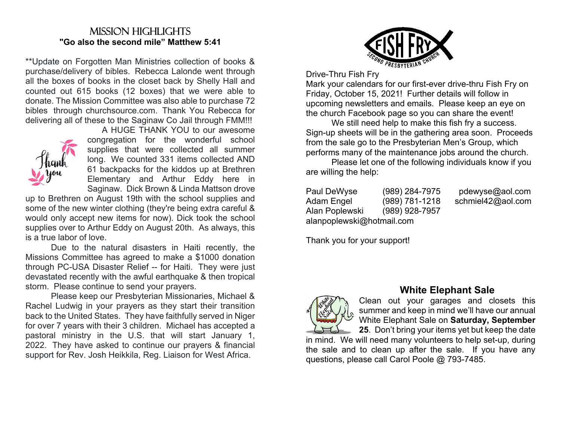#### Mission highlights**"Go also the second mile" Matthew 5:41**

\*\*Update on Forgotten Man Ministries collection of books & purchase/delivery of bibles. Rebecca Lalonde went through all the boxes of books in the closet back by Shelly Hall and counted out 615 books (12 boxes) that we were able to donate. The Mission Committee was also able to purchase 72 bibles through churchsource.com. Thank You Rebecca for delivering all of these to the Saginaw Co Jail through FMM!!!



 A HUGE THANK YOU to our awesome congregation for the wonderful school supplies that were collected all summer long. We counted 331 items collected AND 61 backpacks for the kiddos up at Brethren Elementary and Arthur Eddy here in Saginaw. Dick Brown & Linda Mattson drove

up to Brethren on August 19th with the school supplies and some of the new winter clothing (they're being extra careful & would only accept new items for now). Dick took the school supplies over to Arthur Eddy on August 20th. As always, this is a true labor of love.

 Due to the natural disasters in Haiti recently, the Missions Committee has agreed to make a \$1000 donation through PC-USA Disaster Relief -- for Haiti. They were just devastated recently with the awful earthquake & then tropical storm. Please continue to send your prayers.

 Please keep our Presbyterian Missionaries, Michael & Rachel Ludwig in your prayers as they start their transition back to the United States. They have faithfully served in Niger for over 7 years with their 3 children. Michael has accepted a pastoral ministry in the U.S. that will start January 1, 2022. They have asked to continue our prayers & financial support for Rev. Josh Heikkila, Reg. Liaison for West Africa.



Drive-Thru Fish Fry

Mark your calendars for our first-ever drive-thru Fish Fry on Friday, October 15, 2021! Further details will follow in upcoming newsletters and emails. Please keep an eye on the church Facebook page so you can share the event!

 We still need help to make this fish fry a success. Sign-up sheets will be in the gathering area soon. Proceeds from the sale go to the Presbyterian Men's Group, which performs many of the maintenance jobs around the church.

 Please let one of the following individuals know if you are willing the help:

| Paul DeWyse               | (989) 284-7975 |  |
|---------------------------|----------------|--|
| Adam Engel                | (989) 781-1218 |  |
| Alan Poplewski            | (989) 928-7957 |  |
| alanpoplewski@hotmail.com |                |  |

pdewyse@aol.com schmiel42@aol.com

Thank you for your support!



#### **White Elephant Sale**

Clean out your garages and closets this summer and keep in mind we'll have our annual White Elephant Sale on **Saturday, September 25**. Don't bring your items yet but keep the date

in mind. We will need many volunteers to help set-up, during the sale and to clean up after the sale. If you have any questions, please call Carol Poole @ 793-7485.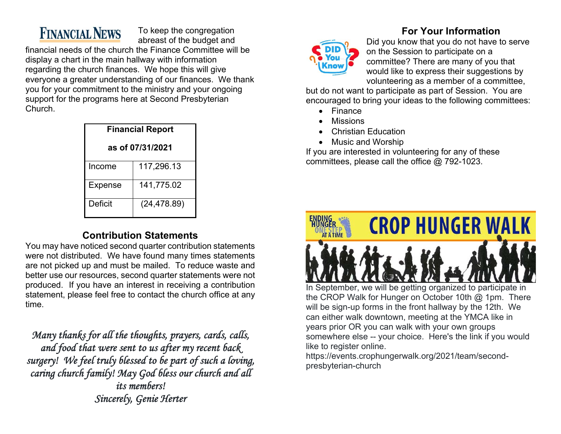### **FINANCIAL NEWS**

To keep the congregation abreast of the budget and

financial needs of the church the Finance Committee will be display a chart in the main hallway with information regarding the church finances. We hope this will give everyone a greater understanding of our finances. We thank you for your commitment to the ministry and your ongoing support for the programs here at Second Presbyterian Church.

| <b>Financial Report</b> |              |  |
|-------------------------|--------------|--|
| as of 07/31/2021        |              |  |
| Income                  | 117,296.13   |  |
| Expense                 | 141,775.02   |  |
| Deficit                 | (24, 478.89) |  |

#### **Contribution Statements**

You may have noticed second quarter contribution statements were not distributed. We have found many times statements are not picked up and must be mailed. To reduce waste and better use our resources, second quarter statements were not produced. If you have an interest in receiving a contribution statement, please feel free to contact the church office at any time.

*Many thanks for all the thoughts, prayers, cards, calls, and food that were sent to us after my recent back surgery! We feel truly blessed to be part of such a loving, caring church family! May God bless our church and all its members! Sincerely, Genie Herter* 

#### **For Your Information**



Did you know that you do not have to serve on the Session to participate on a committee? There are many of you that would like to express their suggestions by volunteering as a member of a committee,

but do not want to participate as part of Session. You are encouraged to bring your ideas to the following committees:

- Finance
- Missions
- Christian Education
- Music and Worship

If you are interested in volunteering for any of these committees, please call the office @ 792-1023.



years prior OR you can walk with your own groups somewhere else -- your choice. Here's the link if you would like to register online.

https://events.crophungerwalk.org/2021/team/secondpresbyterian-church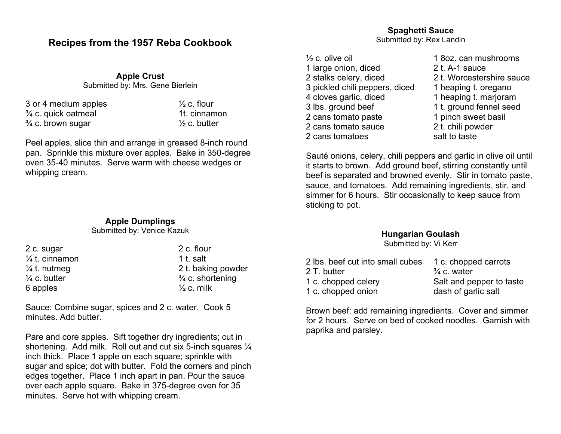#### **Recipes from the 1957 Reba Cookbook**

**Apple Crust**  Submitted by: Mrs. Gene Bierlein

| 3 or 4 medium apples           |
|--------------------------------|
| $\frac{3}{4}$ c. quick oatmeal |
| $\frac{3}{4}$ c. brown sugar   |

 $\frac{1}{2}$  c. flour 1t. cinnamon  $\frac{1}{2}$  c. butter

Peel apples, slice thin and arrange in greased 8-inch round pan. Sprinkle this mixture over apples. Bake in 350-degree oven 35-40 minutes. Serve warm with cheese wedges or whipping cream.

#### **Apple Dumplings**

Submitted by: Venice Kazuk

| 2 c. sugar                | 2 c. flour                  |
|---------------------------|-----------------------------|
| $\frac{1}{4}$ t. cinnamon | 1 t. salt                   |
| $\frac{1}{4}$ t. nutmeg   | 2 t. baking powder          |
| $\frac{1}{4}$ c. butter   | $\frac{3}{4}$ c. shortening |
| 6 apples                  | $\frac{1}{2}$ c. milk       |

Sauce: Combine sugar, spices and 2 c. water. Cook 5 minutes. Add butter.

Pare and core apples. Sift together dry ingredients; cut in shortening. Add milk. Roll out and cut six 5-inch squares  $\frac{1}{4}$ inch thick. Place 1 apple on each square; sprinkle with sugar and spice; dot with butter. Fold the corners and pinch edges together. Place 1 inch apart in pan. Pour the sauce over each apple square. Bake in 375-degree oven for 35 minutes. Serve hot with whipping cream.

 $\frac{1}{2}$  c. olive oil  $\frac{1}{2}$  c. olive oil 1 large onion, diced 2 t. A-1 sauce 2 stalks celery, diced 2 t. Worcestershire sauce 3 pickled chili peppers, diced 1 heaping t. oregano 4 cloves garlic, diced 1 heaping t. marjoram 3 lbs. ground beef 1 t. ground fennel seed 2 cans tomato paste 1 pinch sweet basil 2 cans tomato sauce 2 t. chili powder 2 cans tomatoes salt to taste

Sauté onions, celery, chili peppers and garlic in olive oil until it starts to brown. Add ground beef, stirring constantly until beef is separated and browned evenly. Stir in tomato paste, sauce, and tomatoes. Add remaining ingredients, stir, and simmer for 6 hours. Stir occasionally to keep sauce from sticking to pot.

#### **Hungarian Goulash**

Submitted by: Vi Kerr

| 2 lbs, beef cut into small cubes | 1 c. chopped carrots     |
|----------------------------------|--------------------------|
| 2 T. butter                      | $\frac{3}{4}$ c. water   |
| 1 c. chopped celery              | Salt and pepper to taste |
| 1 c. chopped onion               | dash of garlic salt      |

Brown beef: add remaining ingredients. Cover and simmer for 2 hours. Serve on bed of cooked noodles. Garnish with paprika and parsley.